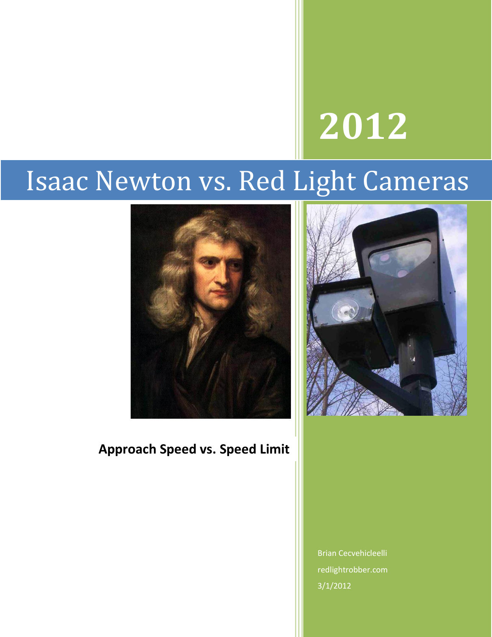# **2012**

# Isaac Newton vs. Red Light Cameras



# **Approach Speed vs. Speed Limit**



Brian Cecvehicleelli redlightrobber.com 3/1/2012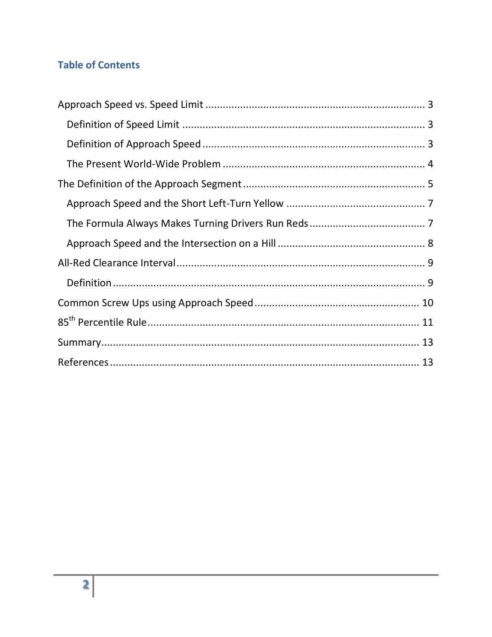## **Table of Contents**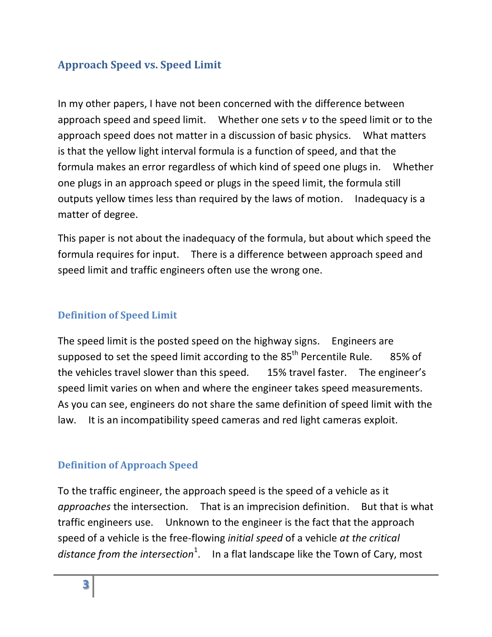# <span id="page-2-0"></span>**Approach Speed vs. Speed Limit**

In my other papers, I have not been concerned with the difference between approach speed and speed limit. Whether one sets *v* to the speed limit or to the approach speed does not matter in a discussion of basic physics. What matters is that the yellow light interval formula is a function of speed, and that the formula makes an error regardless of which kind of speed one plugs in. Whether one plugs in an approach speed or plugs in the speed limit, the formula still outputs yellow times less than required by the laws of motion. Inadequacy is a matter of degree.

This paper is not about the inadequacy of the formula, but about which speed the formula requires for input. There is a difference between approach speed and speed limit and traffic engineers often use the wrong one.

#### <span id="page-2-1"></span>**Definition of Speed Limit**

The speed limit is the posted speed on the highway signs. Engineers are supposed to set the speed limit according to the 85<sup>th</sup> Percentile Rule. 85% of the vehicles travel slower than this speed. 15% travel faster. The engineer's speed limit varies on when and where the engineer takes speed measurements. As you can see, engineers do not share the same definition of speed limit with the law. It is an incompatibility speed cameras and red light cameras exploit.

#### <span id="page-2-2"></span>**Definition of Approach Speed**

To the traffic engineer, the approach speed is the speed of a vehicle as it *approaches* the intersection. That is an imprecision definition. But that is what traffic engineers use. Unknown to the engineer is the fact that the approach speed of a vehicle is the free-flowing *initial speed* of a vehicle *at the critical*  distance from the intersection<sup>1</sup>. In a flat landscape like the Town of Cary, most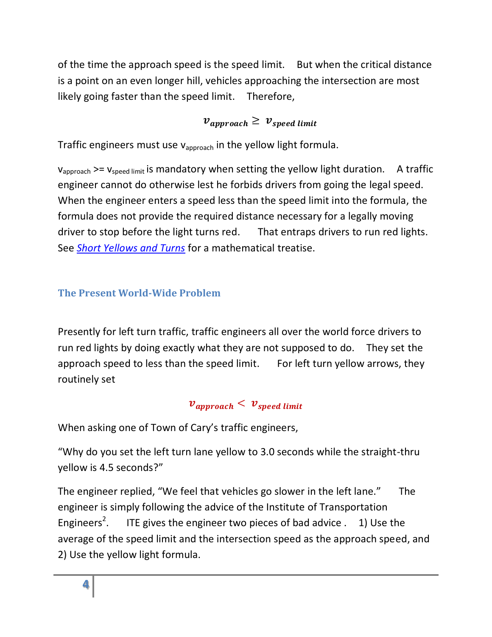of the time the approach speed is the speed limit. But when the critical distance is a point on an even longer hill, vehicles approaching the intersection are most likely going faster than the speed limit. Therefore,

# $v_{\text{approx}} \geq v_{\text{speed limit}}$

Traffic engineers must use  $v_{\text{approach}}$  in the yellow light formula.

 $v_{\text{anormal}}$  >=  $v_{\text{speed limit}}$  is mandatory when setting the yellow light duration. A traffic engineer cannot do otherwise lest he forbids drivers from going the legal speed. When the engineer enters a speed less than the speed limit into the formula, the formula does not provide the required distance necessary for a legally moving driver to stop before the light turns red. That entraps drivers to run red lights. See *[Short Yellows and Turns](Short-Yellow.pdf)* for a mathematical treatise.

# <span id="page-3-0"></span>**The Present World-Wide Problem**

Presently for left turn traffic, traffic engineers all over the world force drivers to run red lights by doing exactly what they are not supposed to do. They set the approach speed to less than the speed limit. For left turn yellow arrows, they routinely set

## $v_{\text{amproach}} < v_{\text{speed limit}}$

When asking one of Town of Cary's traffic engineers,

"Why do you set the left turn lane yellow to 3.0 seconds while the straight-thru yellow is 4.5 seconds?"

The engineer replied, "We feel that vehicles go slower in the left lane." The engineer is simply following the advice of the Institute of Transportation Engineers<sup>2</sup>. ITE gives the engineer two pieces of bad advice . 1) Use the average of the speed limit and the intersection speed as the approach speed, and 2) Use the yellow light formula.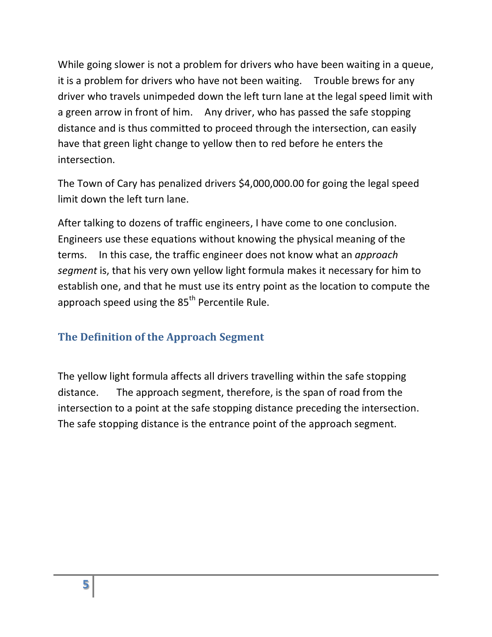While going slower is not a problem for drivers who have been waiting in a queue, it is a problem for drivers who have not been waiting. Trouble brews for any driver who travels unimpeded down the left turn lane at the legal speed limit with a green arrow in front of him. Any driver, who has passed the safe stopping distance and is thus committed to proceed through the intersection, can easily have that green light change to yellow then to red before he enters the intersection.

The Town of Cary has penalized drivers \$4,000,000.00 for going the legal speed limit down the left turn lane.

After talking to dozens of traffic engineers, I have come to one conclusion. Engineers use these equations without knowing the physical meaning of the terms. In this case, the traffic engineer does not know what an *approach segment* is, that his very own yellow light formula makes it necessary for him to establish one, and that he must use its entry point as the location to compute the approach speed using the  $85<sup>th</sup>$  Percentile Rule.

# <span id="page-4-0"></span>**The Definition of the Approach Segment**

The yellow light formula affects all drivers travelling within the safe stopping distance. The approach segment, therefore, is the span of road from the intersection to a point at the safe stopping distance preceding the intersection. The safe stopping distance is the entrance point of the approach segment.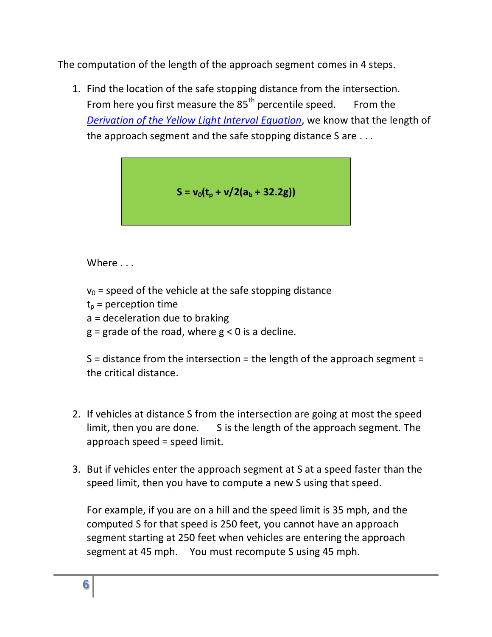The computation of the length of the approach segment comes in 4 steps.

1. Find the location of the safe stopping distance from the intersection. From here you first measure the  $85<sup>th</sup>$  percentile speed. From the *[Derivation of the Yellow Light Interval Equation](Yellow-Light-Duration-Derivation.pdf)*, we know that the length of the approach segment and the safe stopping distance S are . . .

$$
S = v_0(t_p + v/2(a_b + 32.2g))
$$

Where ...

- $v_0$  = speed of the vehicle at the safe stopping distance
- $t_p$  = perception time
- a = deceleration due to braking
- $g =$  grade of the road, where  $g < 0$  is a decline.

S = distance from the intersection = the length of the approach segment = the critical distance.

- 2. If vehicles at distance S from the intersection are going at most the speed limit, then you are done. S is the length of the approach segment. The approach speed = speed limit.
- 3. But if vehicles enter the approach segment at S at a speed faster than the speed limit, then you have to compute a new S using that speed.

For example, if you are on a hill and the speed limit is 35 mph, and the computed S for that speed is 250 feet, you cannot have an approach segment starting at 250 feet when vehicles are entering the approach segment at 45 mph. You must recompute S using 45 mph.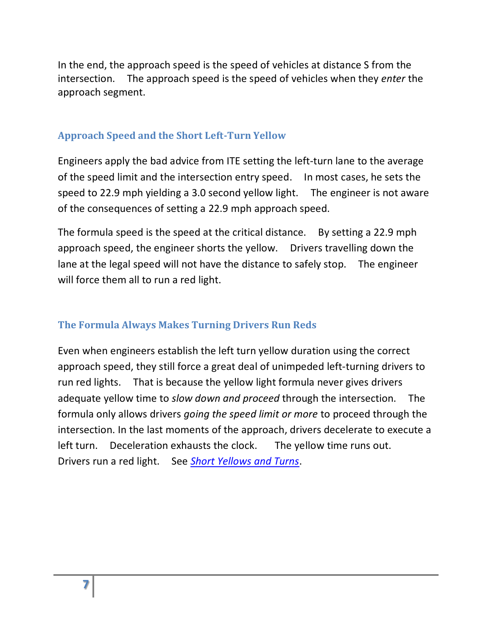In the end, the approach speed is the speed of vehicles at distance S from the intersection. The approach speed is the speed of vehicles when they *enter* the approach segment.

#### <span id="page-6-0"></span>**Approach Speed and the Short Left-Turn Yellow**

Engineers apply the bad advice from ITE setting the left-turn lane to the average of the speed limit and the intersection entry speed. In most cases, he sets the speed to 22.9 mph yielding a 3.0 second yellow light. The engineer is not aware of the consequences of setting a 22.9 mph approach speed.

The formula speed is the speed at the critical distance. By setting a 22.9 mph approach speed, the engineer shorts the yellow. Drivers travelling down the lane at the legal speed will not have the distance to safely stop. The engineer will force them all to run a red light.

#### <span id="page-6-1"></span>**The Formula Always Makes Turning Drivers Run Reds**

Even when engineers establish the left turn yellow duration using the correct approach speed, they still force a great deal of unimpeded left-turning drivers to run red lights. That is because the yellow light formula never gives drivers adequate yellow time to *slow down and proceed* through the intersection. The formula only allows drivers *going the speed limit or more* to proceed through the intersection. In the last moments of the approach, drivers decelerate to execute a left turn. Deceleration exhausts the clock. The yellow time runs out. Drivers run a red light. See *[Short Yellows and Turns](Short-Yellow.pdf)*.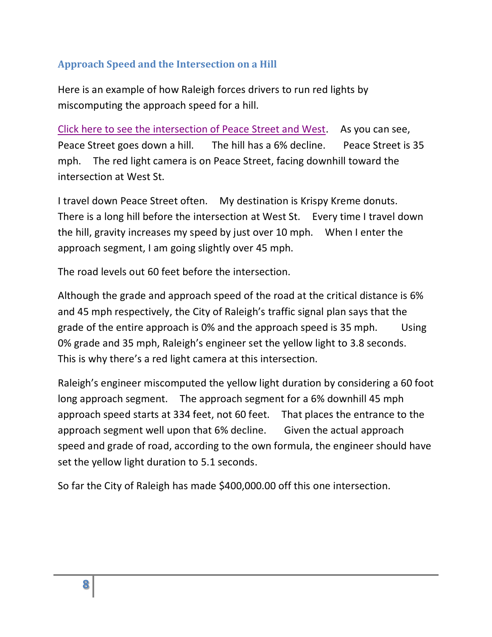#### <span id="page-7-0"></span>**Approach Speed and the Intersection on a Hill**

Here is an example of how Raleigh forces drivers to run red lights by miscomputing the approach speed for a hill.

Click here to see [the intersection of Peace Street and West.](http://maps.google.com/maps?q=peace+and+west,+raleigh&hl=en&ll=35.788659,-78.645973&spn=0.000004,0.006947&sll=37.160317,-95.712891&sspn=56.418488,113.818359&vpsrc=6&z=18&layer=c&cbll=35.788659,-78.646143&panoid=E9ZACJVHwq-rG_3jKHYvNA&cbp=12,96.39,,0,23.4) As you can see, Peace Street goes down a hill. The hill has a 6% decline. Peace Street is 35 mph. The red light camera is on Peace Street, facing downhill toward the intersection at West St.

I travel down Peace Street often. My destination is Krispy Kreme donuts. There is a long hill before the intersection at West St. Every time I travel down the hill, gravity increases my speed by just over 10 mph. When I enter the approach segment, I am going slightly over 45 mph.

The road levels out 60 feet before the intersection.

Although the grade and approach speed of the road at the critical distance is 6% and 45 mph respectively, the City of Raleigh's traffic signal plan says that the grade of the entire approach is 0% and the approach speed is 35 mph. Using 0% grade and 35 mph, Raleigh's engineer set the yellow light to 3.8 seconds. This is why there's a red light camera at this intersection.

Raleigh's engineer miscomputed the yellow light duration by considering a 60 foot long approach segment. The approach segment for a 6% downhill 45 mph approach speed starts at 334 feet, not 60 feet. That places the entrance to the approach segment well upon that 6% decline. Given the actual approach speed and grade of road, according to the own formula, the engineer should have set the yellow light duration to 5.1 seconds.

So far the City of Raleigh has made \$400,000.00 off this one intersection.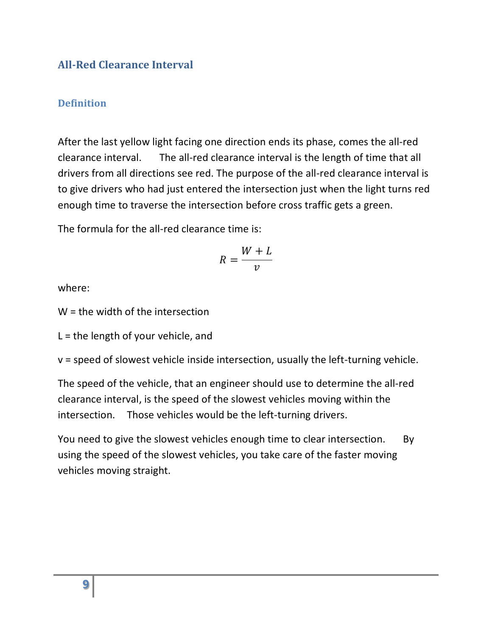#### <span id="page-8-0"></span>**All-Red Clearance Interval**

#### <span id="page-8-1"></span>**Definition**

After the last yellow light facing one direction ends its phase, comes the all-red clearance interval. The all-red clearance interval is the length of time that all drivers from all directions see red. The purpose of the all-red clearance interval is to give drivers who had just entered the intersection just when the light turns red enough time to traverse the intersection before cross traffic gets a green.

The formula for the all-red clearance time is:

$$
R = \frac{W + L}{v}
$$

where:

W = the width of the intersection

 $L =$  the length of your vehicle, and

v = speed of slowest vehicle inside intersection, usually the left-turning vehicle.

The speed of the vehicle, that an engineer should use to determine the all-red clearance interval, is the speed of the slowest vehicles moving within the intersection. Those vehicles would be the left-turning drivers.

You need to give the slowest vehicles enough time to clear intersection. By using the speed of the slowest vehicles, you take care of the faster moving vehicles moving straight.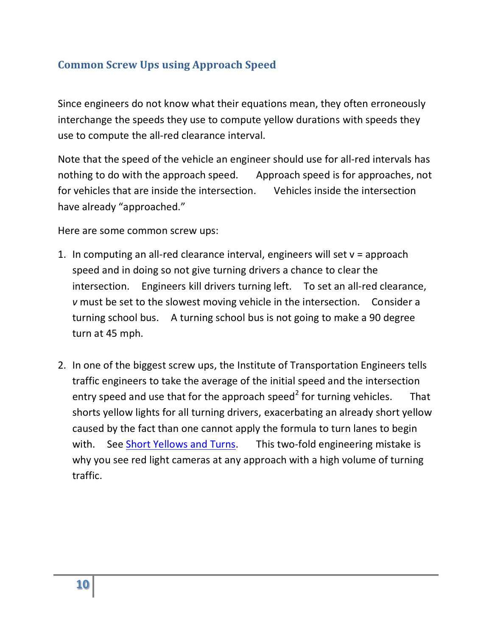## <span id="page-9-0"></span>**Common Screw Ups using Approach Speed**

Since engineers do not know what their equations mean, they often erroneously interchange the speeds they use to compute yellow durations with speeds they use to compute the all-red clearance interval.

Note that the speed of the vehicle an engineer should use for all-red intervals has nothing to do with the approach speed. Approach speed is for approaches, not for vehicles that are inside the intersection. Vehicles inside the intersection have already "approached."

Here are some common screw ups:

- 1. In computing an all-red clearance interval, engineers will set v = approach speed and in doing so not give turning drivers a chance to clear the intersection. Engineers kill drivers turning left. To set an all-red clearance, *v* must be set to the slowest moving vehicle in the intersection. Consider a turning school bus. A turning school bus is not going to make a 90 degree turn at 45 mph.
- 2. In one of the biggest screw ups, the Institute of Transportation Engineers tells traffic engineers to take the average of the initial speed and the intersection entry speed and use that for the approach speed<sup>2</sup> for turning vehicles. That shorts yellow lights for all turning drivers, exacerbating an already short yellow caused by the fact than one cannot apply the formula to turn lanes to begin with. See [Short Yellows and Turns.](Short-Yellow.pdf) This two-fold engineering mistake is why you see red light cameras at any approach with a high volume of turning traffic.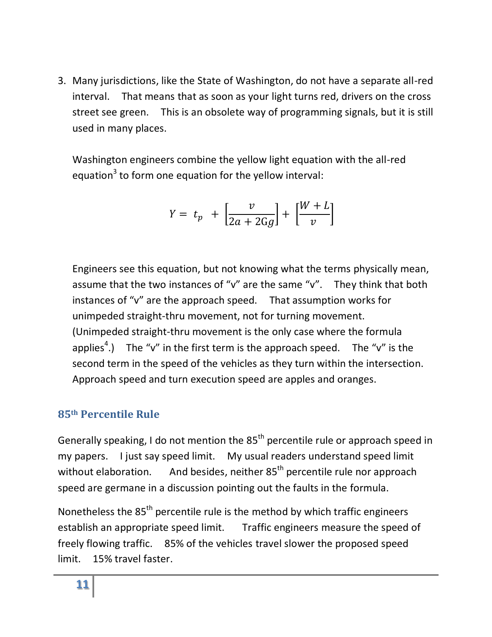3. Many jurisdictions, like the State of Washington, do not have a separate all-red interval. That means that as soon as your light turns red, drivers on the cross street see green. This is an obsolete way of programming signals, but it is still used in many places.

Washington engineers combine the yellow light equation with the all-red equation<sup>3</sup> to form one equation for the yellow interval:

$$
Y = t_p + \left[\frac{v}{2a + 2Gg}\right] + \left[\frac{W + L}{v}\right]
$$

Engineers see this equation, but not knowing what the terms physically mean, assume that the two instances of "v" are the same "v". They think that both instances of "v" are the approach speed. That assumption works for unimpeded straight-thru movement, not for turning movement. (Unimpeded straight-thru movement is the only case where the formula applies<sup>4</sup>.) The "v" in the first term is the approach speed. The "v" is the second term in the speed of the vehicles as they turn within the intersection. Approach speed and turn execution speed are apples and oranges.

#### <span id="page-10-0"></span>**85th Percentile Rule**

Generally speaking, I do not mention the  $85<sup>th</sup>$  percentile rule or approach speed in my papers. I just say speed limit. My usual readers understand speed limit without elaboration. And besides, neither  $85<sup>th</sup>$  percentile rule nor approach speed are germane in a discussion pointing out the faults in the formula.

Nonetheless the 85<sup>th</sup> percentile rule is the method by which traffic engineers establish an appropriate speed limit. Traffic engineers measure the speed of freely flowing traffic. 85% of the vehicles travel slower the proposed speed limit. 15% travel faster.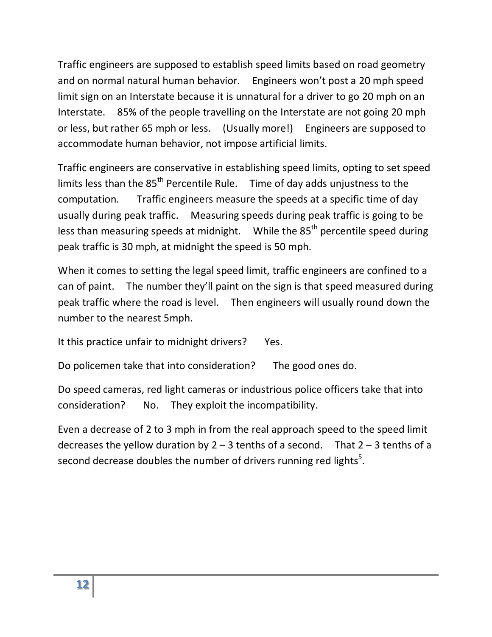Traffic engineers are supposed to establish speed limits based on road geometry and on normal natural human behavior. Engineers won't post a 20 mph speed limit sign on an Interstate because it is unnatural for a driver to go 20 mph on an Interstate. 85% of the people travelling on the Interstate are not going 20 mph or less, but rather 65 mph or less. (Usually more!) Engineers are supposed to accommodate human behavior, not impose artificial limits.

Traffic engineers are conservative in establishing speed limits, opting to set speed limits less than the 85<sup>th</sup> Percentile Rule. Time of day adds unjustness to the computation. Traffic engineers measure the speeds at a specific time of day usually during peak traffic. Measuring speeds during peak traffic is going to be less than measuring speeds at midnight. While the  $85<sup>th</sup>$  percentile speed during peak traffic is 30 mph, at midnight the speed is 50 mph.

When it comes to setting the legal speed limit, traffic engineers are confined to a can of paint. The number they'll paint on the sign is that speed measured during peak traffic where the road is level. Then engineers will usually round down the number to the nearest 5mph.

It this practice unfair to midnight drivers? Yes.

Do policemen take that into consideration? The good ones do.

Do speed cameras, red light cameras or industrious police officers take that into consideration? No. They exploit the incompatibility.

<span id="page-11-0"></span>Even a decrease of 2 to 3 mph in from the real approach speed to the speed limit decreases the yellow duration by  $2 - 3$  tenths of a second. That  $2 - 3$  tenths of a second decrease doubles the number of drivers running red lights<sup>5</sup>.